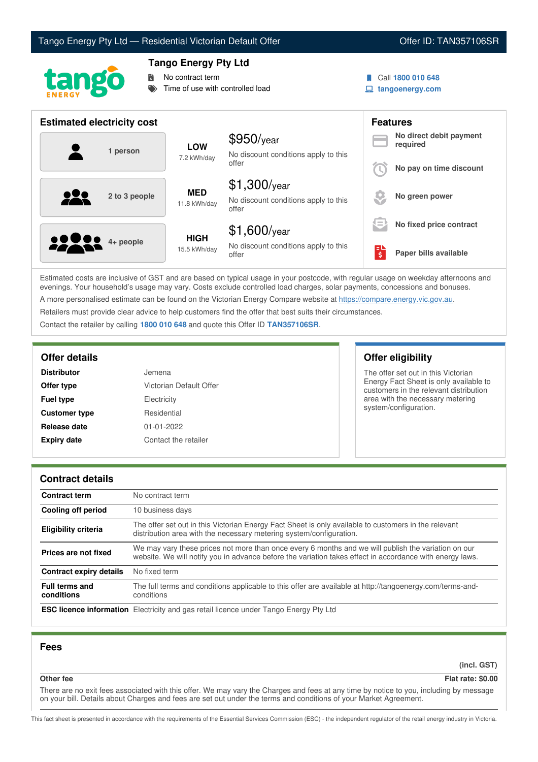# Tango Energy Pty Ltd — Residential Victorian Default Offer **Communist Communist Communist Communist Communist Communist Communist Communist Communist Communist Communist Communist Communist Communist Communist Communist Co**





# **Tango Energy Pty Ltd**

No contract term

Time of use with controlled load

- Call **1800 010 648**
- **tangoenergy.com**

| <b>Estimated electricity cost</b> |                             |                                                                 |     | <b>Features</b>                     |
|-----------------------------------|-----------------------------|-----------------------------------------------------------------|-----|-------------------------------------|
| 1 person                          | <b>LOW</b><br>7.2 kWh/day   | $$950$ /year<br>No discount conditions apply to this            |     | No direct debit payment<br>required |
|                                   |                             | offer                                                           |     | No pay on time discount             |
| 929<br>2 to 3 people              | <b>MED</b><br>11.8 kWh/day  | $$1,300$ /year<br>No discount conditions apply to this<br>offer |     | No green power                      |
|                                   |                             | $$1,600$ /year                                                  | s = | No fixed price contract             |
| <b>2000</b> 4+ people             | <b>HIGH</b><br>15.5 kWh/day | No discount conditions apply to this<br>offer                   | Ś   | Paper bills available               |

Estimated costs are inclusive of GST and are based on typical usage in your postcode, with regular usage on weekday afternoons and evenings. Your household's usage may vary. Costs exclude controlled load charges, solar payments, concessions and bonuses. A more personalised estimate can be found on the Victorian Energy Compare website at <https://compare.energy.vic.gov.au>.

Retailers must provide clear advice to help customers find the offer that best suits their circumstances.

Contact the retailer by calling **1800 010 648** and quote this Offer ID **TAN357106SR**.

| <b>Distributor</b>   | Jemena                  |
|----------------------|-------------------------|
| Offer type           | Victorian Default Offer |
| <b>Fuel type</b>     | Electricity             |
| <b>Customer type</b> | Residential             |
| Release date         | $01 - 01 - 2022$        |
| <b>Expiry date</b>   | Contact the retailer    |

**Offer details Offer eligibility**

The offer set out in this Victorian Energy Fact Sheet is only available to customers in the relevant distribution area with the necessary metering system/configuration.

## **Contract details**

| <b>Contract term</b>                | No contract term                                                                                                                                                                                                |
|-------------------------------------|-----------------------------------------------------------------------------------------------------------------------------------------------------------------------------------------------------------------|
| Cooling off period                  | 10 business days                                                                                                                                                                                                |
| <b>Eligibility criteria</b>         | The offer set out in this Victorian Energy Fact Sheet is only available to customers in the relevant<br>distribution area with the necessary metering system/configuration.                                     |
| Prices are not fixed                | We may vary these prices not more than once every 6 months and we will publish the variation on our<br>website. We will notify you in advance before the variation takes effect in accordance with energy laws. |
| Contract expiry details             | No fixed term                                                                                                                                                                                                   |
| <b>Full terms and</b><br>conditions | The full terms and conditions applicable to this offer are available at http://tangoenergy.com/terms-and-<br>conditions                                                                                         |
|                                     | <b>ESC licence information</b> Electricity and gas retail licence under Tango Energy Pty Ltd                                                                                                                    |

## **Fees**

**(incl. GST)**

# **Other fee Flat rate: \$0.00**

There are no exit fees associated with this offer. We may vary the Charges and fees at any time by notice to you, including by message on your bill. Details about Charges and fees are set out under the terms and conditions of your Market Agreement.

This fact sheet is presented in accordance with the requirements of the Essential Services Commission (ESC) - the independent regulator of the retail energy industry in Victoria.